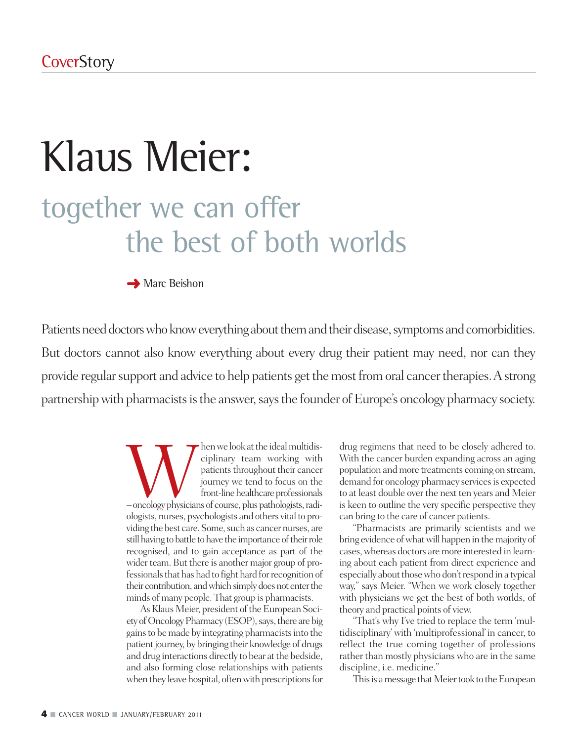# Klaus Meier: together we can offer the best of both worlds

**→** Marc Beishon

Patients need doctors who know everything about them and their disease, symptoms and comorbidities. But doctors cannot also know everything about every drug their patient may need, nor can they provide regular support and advice to help patients get the most from oral cancer therapies. A strong partnership with pharmacists is the answer, says the founder of Europe's oncology pharmacy society.

> Musical multidis-<br>
> patients throughout their cancer<br>
> journey we tend to focus on the<br>
> front-line healthcare professionals<br>
> —oncology physicians of course, plus pathologists, radiciplinary team working with patients throughout their cancer journey we tend to focus on the front-line healthcare professionals ologists, nurses, psychologists and others vital to providing the best care. Some, such as cancer nurses, are still having to battle to have the importance of their role recognised, and to gain acceptance as part of the wider team. But there is another major group of professionals that has had to fight hard for recognition of their contribution, and which simply does not enter the minds of many people. That group is pharmacists.

> As Klaus Meier, president of the European Society of Oncology Pharmacy (ESOP), says, there are big gains to be made by integrating pharmacists into the patient journey, by bringing their knowledge of drugs and drug interactions directly to bear at the bedside, and also forming close relationships with patients when they leave hospital, often with prescriptions for

drug regimens that need to be closely adhered to. With the cancer burden expanding across an aging population and more treatments coming on stream, demand for oncology pharmacy services is expected to at least double over the next ten years and Meier is keen to outline the very specific perspective they can bring to the care of cancer patients.

"Pharmacists are primarily scientists and we bring evidence of what will happen in the majority of cases,whereas doctors aremore interested in learning about each patient from direct experience and especially about those who don't respond in a typical way," says Meier. "When we work closely together with physicians we get the best of both worlds, of theory and practical points of view.

"That's why I've tried to replace the term 'multidisciplinary' with 'multiprofessional' in cancer, to reflect the true coming together of professions rather than mostly physicians who are in the same discipline, i.e. medicine."

This is a message that Meier took to the European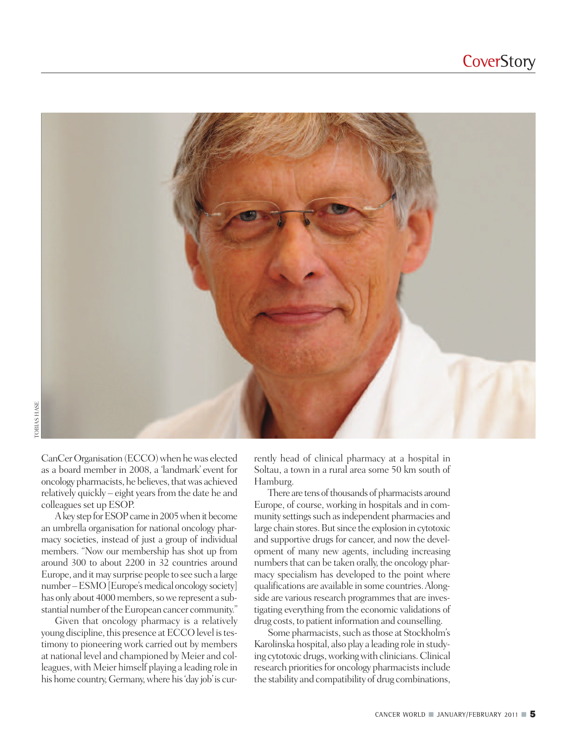

CanCer Organisation (ECCO) when he was elected as a board member in 2008, a 'landmark' event for oncology pharmacists, he believes, that was achieved relatively quickly – eight years from the date he and colleagues set up ESOP.

A key step for ESOP came in 2005 when it become an umbrella organisation for national oncology pharmacy societies, instead of just a group of individual members. "Now our membership has shot up from around 300 to about 2200 in 32 countries around Europe, and it may surprise people to see such a large number – ESMO [Europe's medical oncology society] has only about 4000 members, so we represent a substantial number of the European cancer community."

Given that oncology pharmacy is a relatively young discipline, this presence at ECCO level is testimony to pioneering work carried out by members at national level and championed by Meier and colleagues, with Meier himself playing a leading role in his home country, Germany, where his 'day job' is currently head of clinical pharmacy at a hospital in Soltau, a town in a rural area some 50 km south of Hamburg.

There are tens of thousands of pharmacists around Europe, of course, working in hospitals and in community settings such as independent pharmacies and large chain stores. But since the explosion in cytotoxic and supportive drugs for cancer, and now the development of many new agents, including increasing numbers that can be taken orally, the oncology pharmacy specialism has developed to the point where qualifications are available in some countries.Alongside are various research programmes that are investigating everything from the economic validations of drug costs, to patient information and counselling.

Some pharmacists, such as those at Stockholm's Karolinska hospital, also play a leading role in studying cytotoxic drugs,workingwith clinicians.Clinical research priorities for oncology pharmacists include the stability and compatibility of drug combinations,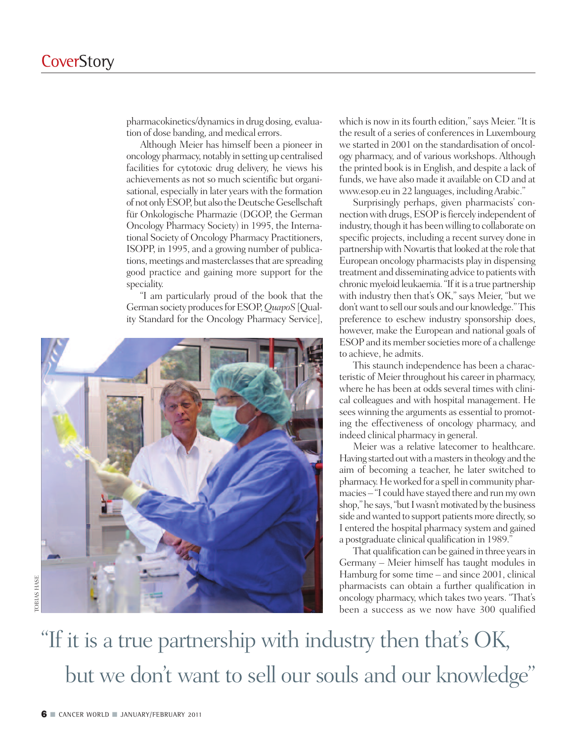pharmacokinetics/dynamics in drug dosing, evaluation of dose banding, and medical errors.

Although Meier has himself been a pioneer in oncology pharmacy, notably in setting up centralised facilities for cytotoxic drug delivery, he views his achievements as not so much scientific but organisational, especially in later years with the formation ofnot onlyESOP,but also theDeutscheGesellschaft für Onkologische Pharmazie (DGOP, the German Oncology Pharmacy Society) in 1995, the International Society of Oncology Pharmacy Practitioners, ISOPP, in 1995, and a growing number of publications, meetings and masterclasses that are spreading good practice and gaining more support for the speciality.

"I am particularly proud of the book that the German society produces for ESOP, QuapoS [Quality Standard for the Oncology Pharmacy Service],



which is now in its fourth edition," says Meier. "It is the result of a series of conferencesin Luxembourg we started in 2001 on the standardisation of oncology pharmacy, and of various workshops. Although the printed book is in English, and despite a lack of funds, we have also made it available on CD and at www.esop.eu in 22 languages, includingArabic."

Surprisingly perhaps, given pharmacists' connection with drugs, ESOP is fiercely independent of industry, though it has been willing to collaborate on specific projects, including a recent survey done in partnership with Novartis that looked at the role that European oncology pharmacists play in dispensing treatment and disseminating advice to patients with chronic myeloid leukaemia. "If it is a true partnership with industry then that's OK," says Meier, "but we don't want to sell our souls and our knowledge." This preference to eschew industry sponsorship does, however, make the European and national goals of ESOP and its member societies more of a challenge to achieve, he admits.

This staunch independence has been a characteristic of Meier throughout his career in pharmacy, where he has been at odds several times with clinical colleagues and with hospital management. He sees winning the arguments as essential to promoting the effectiveness of oncology pharmacy, and indeed clinical pharmacy in general.

Meier was a relative latecomer to healthcare. Having started out with a masters in theology and the aim of becoming a teacher, he later switched to pharmacy.Heworked for a spell incommunity pharmacies – "I could have stayed there and runmy own shop," he says, "but I wasn't motivated by the business side and wanted to support patients more directly, so I entered the hospital pharmacy system and gained a postgraduate clinical qualification in 1989."

That qualification can be gained in three years in Germany – Meier himself has taught modules in Hamburg for some time – and since 2001, clinical pharmacists can obtain a further qualification in oncology pharmacy, which takes two years. "That's been a success as we now have 300 qualified

"If it is a true partnership with industry then that' s OK, but we don 't want to sell our souls and our knowledge "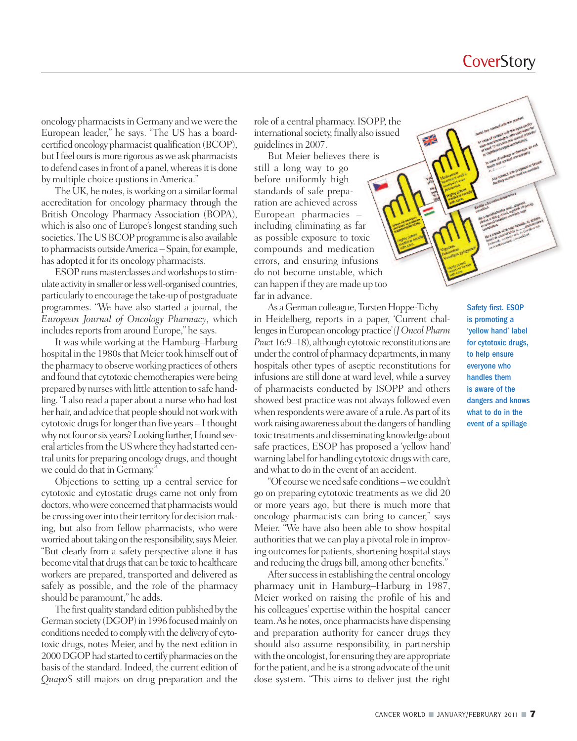#### **CoverStory**

oncology pharmacists in Germany and we were the European leader," he says. "The US has a boardcertified oncology pharmacist qualification (BCOP), but I feel ours is more rigorous as we ask pharmacists to defend cases in front of a panel, whereas it is done by multiple choice qustions in America."

The UK, he notes, is working on a similar formal accreditation for oncology pharmacy through the British Oncology Pharmacy Association (BOPA), which is also one of Europe's longest standing such societies. The US BCOP programme is also available to pharmacists outside America – Spain, for example, has adopted it for its oncology pharmacists.

ESOP runs masterclasses and workshops to stimulate activity in smaller or less well-organised countries, particularly to encourage the take-up of postgraduate programmes. "We have also started a journal, the *European Journal of Oncology Pharmacy*, which includes reports from around Europe," he says.

It was while working at the Hamburg–Harburg hospital in the 1980s that Meier took himself out of the pharmacy to observe working practices of others and found that cytotoxic chemotherapies were being prepared by nurseswith little attention to safe handling. "I also read a paper about a nurse who had lost her hair, and advice that people should not work with cytotoxic drugs for longer than five years - I thought why not four or six years? Looking further, I found several articles from the US where they had started central units for preparing oncology drugs, and thought we could do that in Germany."

Objections to setting up a central service for cytotoxic and cytostatic drugs came not only from doctors, who were concerned that pharmacists would be crossing over into their territory for decision making, but also from fellow pharmacists, who were worried about taking on the responsibility, says Meier. "But clearly from a safety perspective alone it has become vital that drugs that can be toxic to healthcare workers are prepared, transported and delivered as safely as possible, and the role of the pharmacy should be paramount," he adds.

The first quality standard edition published by the German society (DGOP) in 1996 focused mainly on conditions needed to comply with the delivery of cytotoxic drugs, notes Meier, and by the next edition in 2000 DGOP had started to certify pharmacies on the basis of the standard.Indeed, the current edition of *QuapoS* still majors on drug preparation and the role of a central pharmacy. ISOPP, the international society, finally also issued guidelines in 2007.

But Meier believes there is still a long way to go before uniformly high standards of safe preparation are achieved across European pharmacies – including eliminating as far as possible exposure to toxic compounds and medication errors, and ensuring infusions do not become unstable, which can happen if they are made up too far in advance.

As a German colleague, Torsten Hoppe-Tichy in Heidelberg, reports in a paper, 'Current challengesinEuropeanoncologypractice'*(JOncolPharm* Pract 16:9–18), although cytotoxic reconstitutions are under the control of pharmacy departments, in many hospitals other types of aseptic reconstitutions for infusions are still done at ward level, while a survey of pharmacists conducted by ISOPP and others showed best practice was not always followed even when respondents were aware of a rule. As part of its work raising awareness about the dangers of handling toxic treatments and disseminating knowledge about safe practices, ESOP has proposed a 'yellow hand' warning label for handling cytotoxic drugs with care, andwhat to do in the event of an accident.

"Of courseweneedsafe conditions–we couldn't go on preparing cytotoxic treatments as we did 20 or more years ago, but there is much more that oncology pharmacists can bring to cancer," says Meier. "We have also been able to show hospital authorities that we can play a pivotal role in improving outcomes for patients, shortening hospital stays and reducing the drugs bill, among other benefits."

After success in establishing the central oncology pharmacy unit in Hamburg–Harburg in 1987, Meier worked on raising the profile of his and his colleagues' expertise within the hospital cancer team. As he notes, once pharmacists have dispensing and preparation authority for cancer drugs they should also assume responsibility, in partnership with the oncologist, for ensuring they are appropriate for the patient, and he is a strong advocate of the unit dose system. "This aims to deliver just the right Safety first. ESOP is promoting a 'yellow hand' label for cytotoxic drugs, to help ensure everyone who handles them is aware of the dangers and knows what to do in the event of a spillage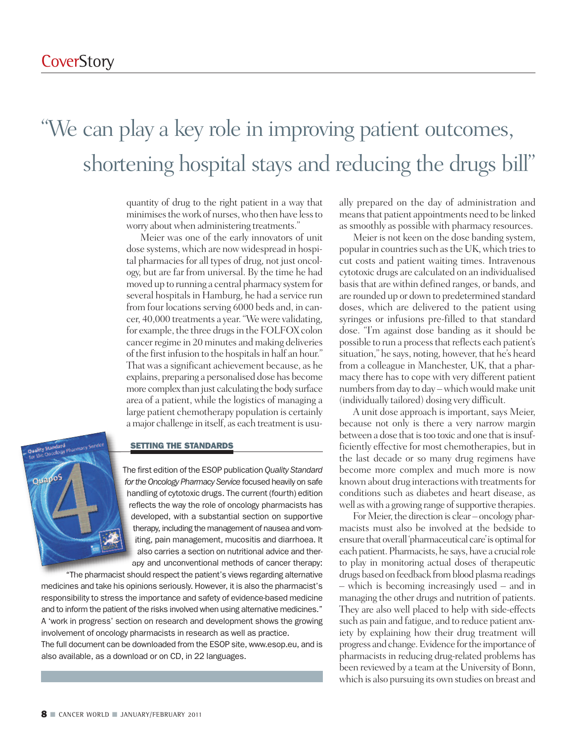### "We can play a key role in improving patient outcomes, shortening hospital stays and reducing the drugs bill"

quantity of drug to the right patient in a way that minimises the work of nurses, who then have less to worry about when administering treatments."

Meier was one of the early innovators of unit dose systems, which are now widespread in hospital pharmacies for all types of drug, not just oncology, but are far from universal. By the time he had moved up to running a central pharmacy system for several hospitals in Hamburg, he had a service run from four locations serving 6000 beds and, in cancer, 40,000 treatments a year."Wewere validating, for example, the three drugs in the FOLFOX colon cancer regime in 20 minutes and making deliveries of the first infusion to the hospitals in half an hour." That was a significant achievement because, as he explains, preparing a personalised dose has become more complex than just calculating the body surface area of a patient, while the logistics of managing a large patient chemotherapy population is certainly a major challenge in itself, as each treatment is usu-



#### **SETTING THE STANDARDS**

The first edition of the ESOP publication *Quality Standard for the Oncology Pharmacy Service* focused heavily on safe handling of cytotoxic drugs. The current (fourth) edition reflects the way the role of oncology pharmacists has developed, with a substantial section on supportive therapy, including the management of nausea and vomiting, pain management, mucositis and diarrhoea. It also carries a section on nutritional advice and therapy and unconventional methods of cancer therapy:

"The pharmacist should respect the patient's views regarding alternative medicines and take his opinions seriously. However, it is also the pharmacist's responsibility to stress the importance and safety of evidence-based medicine and to inform the patient of the risks involved when using alternative medicines." A 'work in progress' section on research and development shows the growing involvement of oncology pharmacists in research as well as practice. The full document can be downloaded from the ESOP site, www.esop.eu, and is also available, as a download or on CD, in 22 languages.

ally prepared on the day of administration and meansthat patient appointments need to be linked as smoothly as possible with pharmacy resources.

Meier is not keen on the dose banding system, popular in countries such as the UK, which tries to cut costs and patient waiting times. Intravenous cytotoxic drugs are calculated on an individualised basisthat are within defined ranges, or bands, and are rounded up or down to predetermined standard doses, which are delivered to the patient using syringes or infusions pre-filled to that standard dose. "I'm against dose banding as it should be possible to run a process that reflects each patient's situation," he says, noting, however, that he's heard from a colleague in Manchester, UK, that a pharmacy there has to cope with very different patient numbers from day to day – which would make unit (individually tailored) dosing very difficult.

A unit dose approach is important, says Meier, because not only is there a very narrow margin between a dose that is too toxic and one that is insufficiently effective for most chemotherapies, but in the last decade or so many drug regimens have become more complex and much more is now known about drug interactions with treatments for conditions such as diabetes and heart disease, as well as with a growing range of supportive therapies.

For Meier, the direction is clear – oncology pharmacists must also be involved at the bedside to ensure that overall'pharmaceutical care'is optimalfor each patient. Pharmacists, he says, have a crucial role to play in monitoring actual doses of therapeutic drugs based on feedback from blood plasma readings – which is becoming increasingly used – and in managing the other drugs and nutrition of patients. They are also well placed to help with side-effects such as pain and fatigue, and to reduce patient anxiety by explaining how their drug treatment will progress and change.Evidence forthe importance of pharmacists in reducing drug-related problems has been reviewed by a team at the University of Bonn, which is also pursuing its own studies on breast and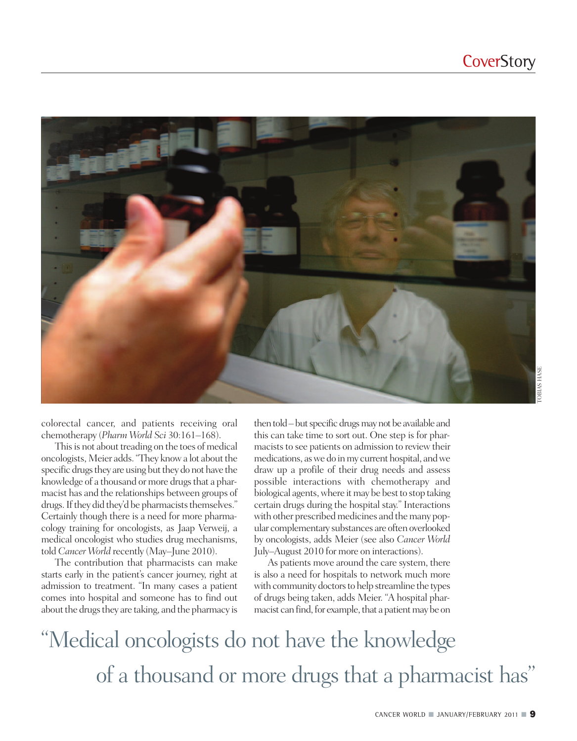

colorectal cancer, and patients receiving oral chemotherapy (*Pharm World Sci* 30:161–168).

This is not about treading on the toes of medical oncologists, Meier adds. "They know a lot about the specific drugs they are using but they do not have the knowledge of a thousand or more drugs that a pharmacist has and the relationships between groups of drugs. If they did they'd be pharmacists themselves." Certainly though there is a need for more pharmacology training for oncologists, as Jaap Verweij, a medical oncologist who studies drug mechanisms, told *Cancer World* recently (May–June 2010).

The contribution that pharmacists can make starts early in the patient's cancer journey, right at admission to treatment. "In many cases a patient comes into hospital and someone has to find out about the drugs they are taking, and the pharmacy is then told – but specific drugs may not be available and this can take time to sort out. One step is for pharmacists to see patients on admission to review their medications, as we do in my current hospital, and we draw up a profile of their drug needs and assess possible interactions with chemotherapy and biological agents, where it may be best to stop taking certain drugs during the hospital stay." Interactions with other prescribed medicines and the many popular complementary substances are often overlooked by oncologists, adds Meier (see also *Cancer World* July–August 2010 for more on interactions).

As patients move around the care system, there is also a need for hospitals to network much more with community doctors to help streamline the types of drugs being taken, adds Meier. "A hospital pharmacist can find, for example, that a patient may be on

"Medical oncologists do not have the knowledge of a thousand or more drugs that a pharmacist has "

CANCER WORLD **■** JANUARY/FEBRUARY <sup>2011</sup> **■ 9**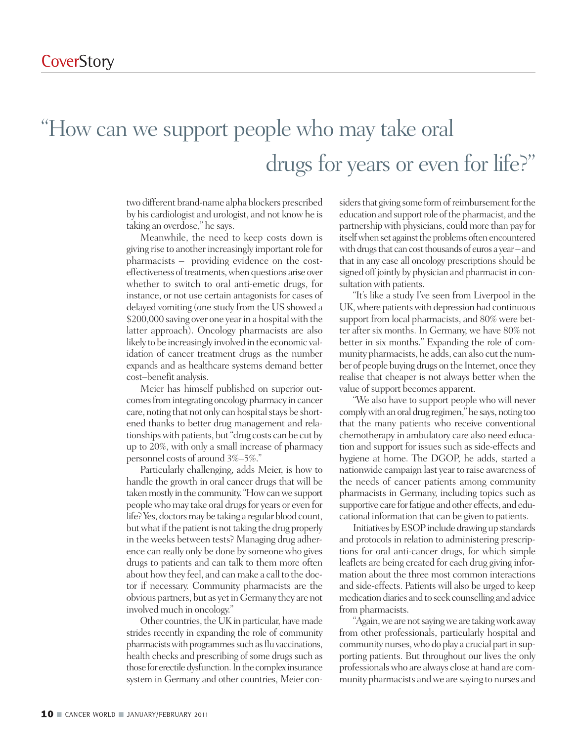## "How can we support people who may take oral drugs for years or even for life?"

two different brand-name alpha blockers prescribed by his cardiologist and urologist, and not knowhe is taking an overdose," he says.

Meanwhile, the need to keep costs down is giving rise to another increasingly important role for pharmacists – providing evidence on the costeffectiveness of treatments, when questions arise over whether to switch to oral anti-emetic drugs, for instance, or not use certain antagonists for cases of delayed vomiting (one study from the US showed a \$200,000 saving over one year in a hospital with the latter approach). Oncology pharmacists are also likely to be increasingly involved in the economic validation of cancer treatment drugs as the number expands and as healthcare systems demand better cost–benefit analysis.

Meier has himself published on superior outcomes from integrating oncology pharmacy in cancer care, noting that not only can hospital stays be shortened thanks to better drug management and relationshipswith patients, but"drug costs can be cut by up to 20%, with only a small increase of pharmacy personnel costs of around 3%–5%."

Particularly challenging, adds Meier, is how to handle the growth in oral cancer drugs that will be taken mostly in the community. "How can we support people who may take oral drugs for years or even for life? Yes, doctors may be taking a regular blood count, but what if the patient is not taking the drug properly in the weeks between tests? Managing drug adherence can really only be done by someone who gives drugs to patients and can talk to them more often about how they feel, and can make a call to the doctor if necessary. Community pharmacists are the obvious partners, but as yet in Germany they are not involved much in oncology."

Other countries, the UK in particular, have made strides recently in expanding the role of community pharmacists with programmes such as flu vaccinations, health checks and prescribing of some drugs such as those for erectile dysfunction. In the complex insurance system in Germany and other countries, Meier considers that giving some form of reimbursement for the education and support role of the pharmacist, and the partnership with physicians, could more than pay for itself when set against the problems often encountered with drugs that can cost thousands of euros a year-and that in any case all oncology prescriptions should be signed off jointly by physician and pharmacist in consultation with patients.

"It's like a study I've seen from Liverpool in the UK, where patients with depression had continuous support from local pharmacists, and 80% were better after six months. In Germany, we have 80% not better in six months." Expanding the role of community pharmacists, he adds, can also cut the number of people buying drugs on the Internet, once they realise that cheaper is not always better when the value of support becomes apparent.

"We also have to support people who will never comply with an oral drug regimen," he says, noting too that the many patients who receive conventional chemotherapy in ambulatory care also need education and support for issues such as side-effects and hygiene at home. The DGOP, he adds, started a nationwide campaign last year to raise awareness of the needs of cancer patients among community pharmacists in Germany, including topics such as supportive care for fatigue and other effects, and educational information that can be given to patients.

Initiatives by ESOP include drawing up standards and protocols in relation to administering prescriptions for oral anti-cancer drugs, for which simple leaflets are being created for each drug giving information about the three most common interactions and side-effects. Patients will also be urged to keep medication diaries and to seek counselling and advice from pharmacists.

"Again, we are not saying we are taking work away from other professionals, particularly hospital and community nurses, who do play a crucial part in supporting patients. But throughout our lives the only professionalswho are always close at hand are community pharmacists and we are saying to nurses and